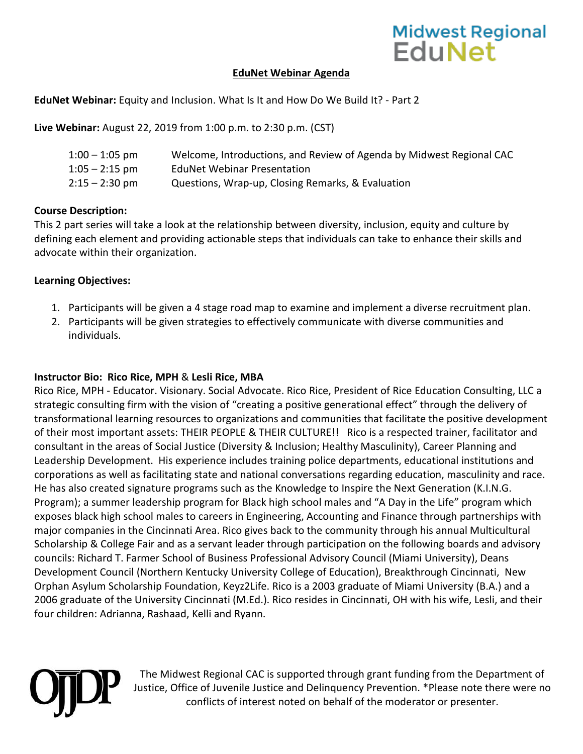## Midwest Regional<br>EduNet

#### **EduNet Webinar Agenda**

**EduNet Webinar:** Equity and Inclusion. What Is It and How Do We Build It? - Part 2

**Live Webinar:** August 22, 2019 from 1:00 p.m. to 2:30 p.m. (CST)

| $1:00 - 1:05$ pm | Welcome, Introductions, and Review of Agenda by Midwest Regional CAC |
|------------------|----------------------------------------------------------------------|
| $1:05 - 2:15$ pm | <b>EduNet Webinar Presentation</b>                                   |
| $2:15 - 2:30$ pm | Questions, Wrap-up, Closing Remarks, & Evaluation                    |

### **Course Description:**

This 2 part series will take a look at the relationship between diversity, inclusion, equity and culture by defining each element and providing actionable steps that individuals can take to enhance their skills and advocate within their organization.

#### **Learning Objectives:**

- 1. Participants will be given a 4 stage road map to examine and implement a diverse recruitment plan.
- 2. Participants will be given strategies to effectively communicate with diverse communities and individuals.

#### **Instructor Bio: Rico Rice, MPH** & **Lesli Rice, MBA**

Rico Rice, MPH - Educator. Visionary. Social Advocate. Rico Rice, President of Rice Education Consulting, LLC a strategic consulting firm with the vision of "creating a positive generational effect" through the delivery of transformational learning resources to organizations and communities that facilitate the positive development of their most important assets: THEIR PEOPLE & THEIR CULTURE!! Rico is a respected trainer, facilitator and consultant in the areas of Social Justice (Diversity & Inclusion; Healthy Masculinity), Career Planning and Leadership Development. His experience includes training police departments, educational institutions and corporations as well as facilitating state and national conversations regarding education, masculinity and race. He has also created signature programs such as the Knowledge to Inspire the Next Generation (K.I.N.G. Program); a summer leadership program for Black high school males and "A Day in the Life" program which exposes black high school males to careers in Engineering, Accounting and Finance through partnerships with major companies in the Cincinnati Area. Rico gives back to the community through his annual Multicultural Scholarship & College Fair and as a servant leader through participation on the following boards and advisory councils: Richard T. Farmer School of Business Professional Advisory Council (Miami University), Deans Development Council (Northern Kentucky University College of Education), Breakthrough Cincinnati, New Orphan Asylum Scholarship Foundation, Keyz2Life. Rico is a 2003 graduate of Miami University (B.A.) and a 2006 graduate of the University Cincinnati (M.Ed.). Rico resides in Cincinnati, OH with his wife, Lesli, and their four children: Adrianna, Rashaad, Kelli and Ryann.

The Midwest Regional CAC is supported through grant funding from the Department of Justice, Office of Juvenile Justice and Delinquency Prevention. \*Please note there were no conflicts of interest noted on behalf of the moderator or presenter.